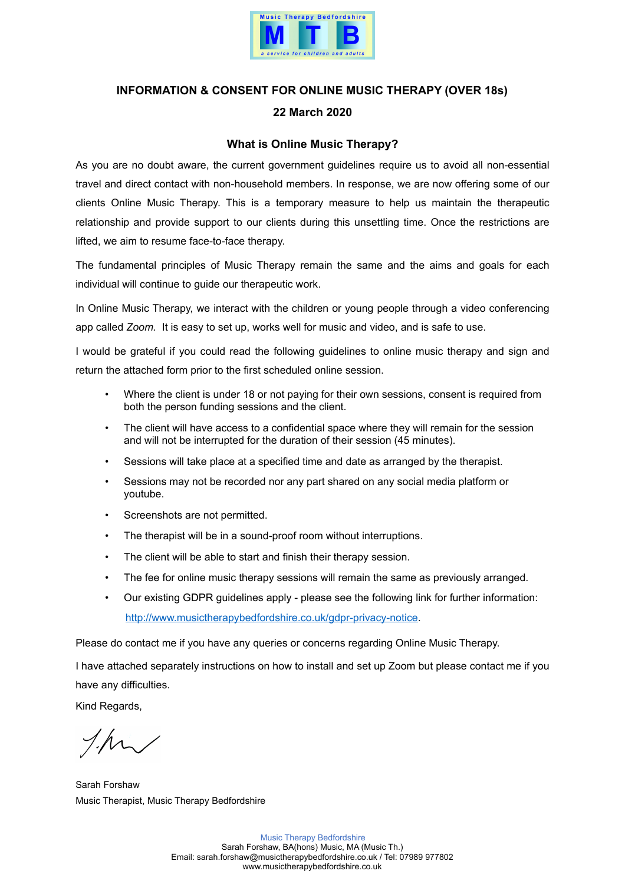

## **INFORMATION & CONSENT FOR ONLINE MUSIC THERAPY (OVER 18s) 22 March 2020**

## **What is Online Music Therapy?**

As you are no doubt aware, the current government guidelines require us to avoid all non-essential travel and direct contact with non-household members. In response, we are now offering some of our clients Online Music Therapy. This is a temporary measure to help us maintain the therapeutic relationship and provide support to our clients during this unsettling time. Once the restrictions are lifted, we aim to resume face-to-face therapy.

The fundamental principles of Music Therapy remain the same and the aims and goals for each individual will continue to guide our therapeutic work.

In Online Music Therapy, we interact with the children or young people through a video conferencing app called *Zoom.* It is easy to set up, works well for music and video, and is safe to use.

I would be grateful if you could read the following guidelines to online music therapy and sign and return the attached form prior to the first scheduled online session.

- Where the client is under 18 or not paying for their own sessions, consent is required from both the person funding sessions and the client.
- The client will have access to a confidential space where they will remain for the session and will not be interrupted for the duration of their session (45 minutes).
- Sessions will take place at a specified time and date as arranged by the therapist.
- Sessions may not be recorded nor any part shared on any social media platform or youtube.
- Screenshots are not permitted.
- The therapist will be in a sound-proof room without interruptions.
- The client will be able to start and finish their therapy session.
- The fee for online music therapy sessions will remain the same as previously arranged.
- Our existing GDPR guidelines apply please see the following link for further information: [http://www.musictherapybedfordshire.co.uk/gdpr-privacy-notice.](http://www.musictherapybedfordshire.co.uk/gdpr-privacy-notice)

Please do contact me if you have any queries or concerns regarding Online Music Therapy.

I have attached separately instructions on how to install and set up Zoom but please contact me if you have any difficulties.

Kind Regards,

Sarah Forshaw Music Therapist, Music Therapy Bedfordshire

Music Therapy Bedfordshire Sarah Forshaw, BA(hons) Music, MA (Music Th.) Email: [sarah.forshaw@musictherapybedfordshire.co.uk](mailto:sarah.forshaw@musictherapybedfordshire.co.uk) / Tel: 07989 977802 www.musictherapybedfordshire.co.uk